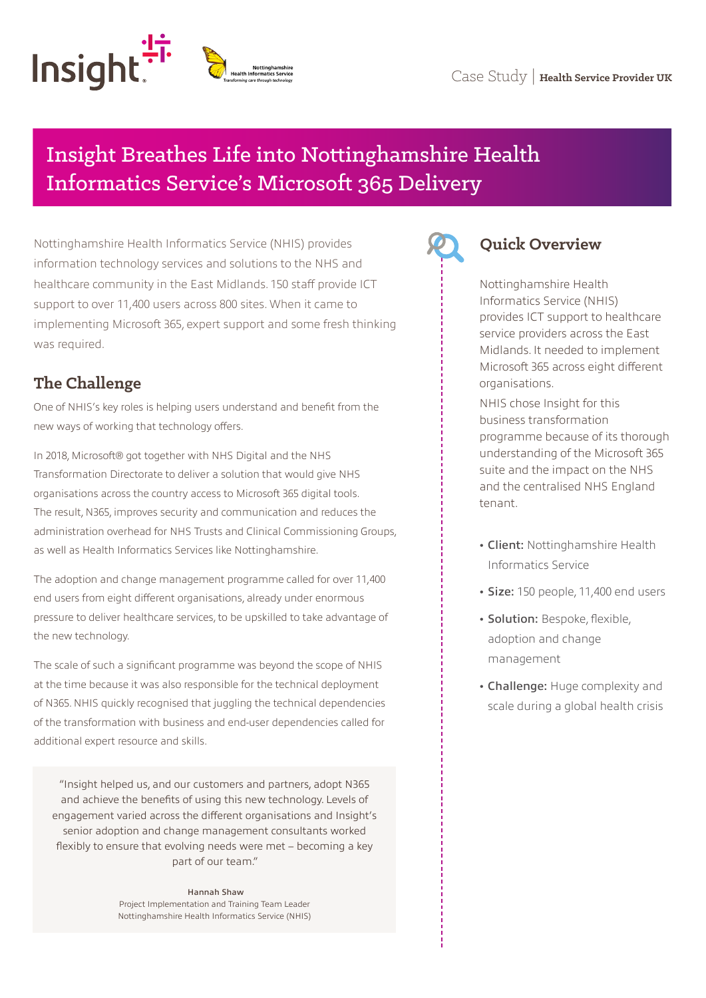# Insight Breathes Life into Nottinghamshire Health Informatics Service's Microsoft 365 Delivery

Nottinghamshire Health Informatics Service (NHIS) provides information technology services and solutions to the NHS and healthcare community in the East Midlands. 150 staff provide ICT support to over 11,400 users across 800 sites. When it came to implementing Microsoft 365, expert support and some fresh thinking was required.

# **The Challenge**

One of NHIS's key roles is helping users understand and benefit from the new ways of working that technology offers.

In 2018, Microsoft® got together with NHS Digital and the NHS Transformation Directorate to deliver a solution that would give NHS organisations across the country access to Microsoft 365 digital tools. The result, N365, improves security and communication and reduces the administration overhead for NHS Trusts and Clinical Commissioning Groups, as well as Health Informatics Services like Nottinghamshire.

The adoption and change management programme called for over 11,400 end users from eight different organisations, already under enormous pressure to deliver healthcare services, to be upskilled to take advantage of the new technology.

The scale of such a significant programme was beyond the scope of NHIS at the time because it was also responsible for the technical deployment of N365. NHIS quickly recognised that juggling the technical dependencies of the transformation with business and end-user dependencies called for additional expert resource and skills.

"Insight helped us, and our customers and partners, adopt N365 and achieve the benefits of using this new technology. Levels of engagement varied across the different organisations and Insight's senior adoption and change management consultants worked flexibly to ensure that evolving needs were met – becoming a key part of our team."

> Hannah Shaw Project Implementation and Training Team Leader Nottinghamshire Health Informatics Service (NHIS)



## **Quick Overview**

Nottinghamshire Health Informatics Service (NHIS) provides ICT support to healthcare service providers across the East Midlands. It needed to implement Microsoft 365 across eight different organisations.

NHIS chose Insight for this business transformation programme because of its thorough understanding of the Microsoft 365 suite and the impact on the NHS and the centralised NHS England tenant.

- **•** Client: Nottinghamshire Health Informatics Service
- **•** Size: 150 people, 11,400 end users
- **•** Solution: Bespoke, flexible, adoption and change management
- **•** Challenge: Huge complexity and scale during a global health crisis